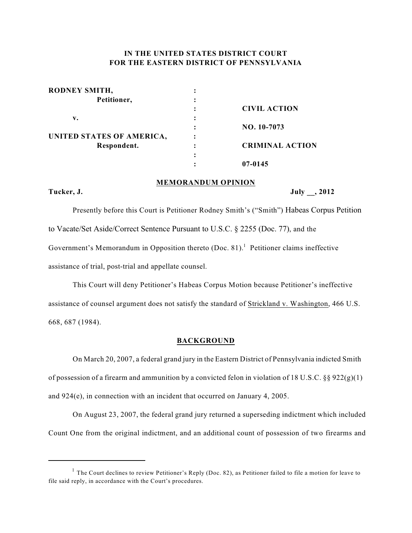# **IN THE UNITED STATES DISTRICT COURT FOR THE EASTERN DISTRICT OF PENNSYLVANIA**

| RODNEY SMITH,             |   |                        |
|---------------------------|---|------------------------|
| Petitioner,               |   |                        |
|                           |   | <b>CIVIL ACTION</b>    |
| v.                        |   |                        |
|                           |   | NO. 10-7073            |
| UNITED STATES OF AMERICA, |   |                        |
| Respondent.               | ٠ | <b>CRIMINAL ACTION</b> |
|                           | ٠ |                        |
|                           |   | 07-0145                |

## **MEMORANDUM OPINION**

**Tucker, J. July \_\_, 2012**

Presently before this Court is Petitioner Rodney Smith's ("Smith") Habeas Corpus Petition to Vacate/Set Aside/Correct Sentence Pursuant to U.S.C. § 2255 (Doc. 77), and the Government's Memorandum in Opposition thereto  $(Doc. 81)$ .<sup>1</sup> Petitioner claims ineffective assistance of trial, post-trial and appellate counsel.

This Court will deny Petitioner's Habeas Corpus Motion because Petitioner's ineffective assistance of counsel argument does not satisfy the standard of Strickland v. Washington, 466 U.S. 668, 687 (1984).

## **BACKGROUND**

On March 20, 2007, a federal grand jury in the Eastern District of Pennsylvania indicted Smith of possession of a firearm and ammunition by a convicted felon in violation of 18 U.S.C. §§ 922(g)(1) and 924(e), in connection with an incident that occurred on January 4, 2005.

On August 23, 2007, the federal grand jury returned a superseding indictment which included Count One from the original indictment, and an additional count of possession of two firearms and

<sup>&</sup>lt;sup>1</sup> The Court declines to review Petitioner's Reply (Doc. 82), as Petitioner failed to file a motion for leave to file said reply, in accordance with the Court's procedures.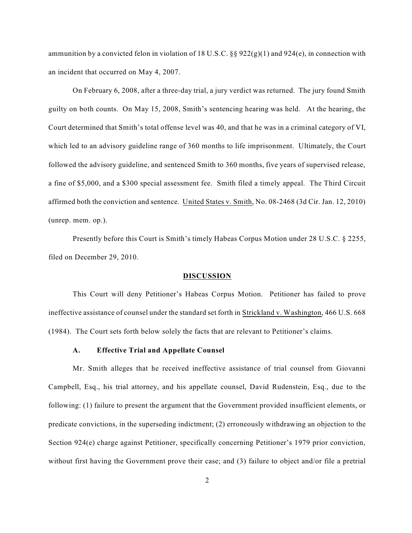ammunition by a convicted felon in violation of 18 U.S.C. §§  $922(g)(1)$  and  $924(e)$ , in connection with an incident that occurred on May 4, 2007.

On February 6, 2008, after a three-day trial, a jury verdict was returned. The jury found Smith guilty on both counts. On May 15, 2008, Smith's sentencing hearing was held. At the hearing, the Court determined that Smith's total offense level was 40, and that he was in a criminal category of VI, which led to an advisory guideline range of 360 months to life imprisonment. Ultimately, the Court followed the advisory guideline, and sentenced Smith to 360 months, five years of supervised release, a fine of \$5,000, and a \$300 special assessment fee. Smith filed a timely appeal. The Third Circuit affirmed both the conviction and sentence. United States v. Smith, No. 08-2468 (3d Cir. Jan. 12, 2010) (unrep. mem. op.).

Presently before this Court is Smith's timely Habeas Corpus Motion under 28 U.S.C. § 2255, filed on December 29, 2010.

### **DISCUSSION**

This Court will deny Petitioner's Habeas Corpus Motion. Petitioner has failed to prove ineffective assistance of counsel under the standard set forth in Strickland v. Washington, 466 U.S. 668 (1984). The Court sets forth below solely the facts that are relevant to Petitioner's claims.

## **A. Effective Trial and Appellate Counsel**

Mr. Smith alleges that he received ineffective assistance of trial counsel from Giovanni Campbell, Esq., his trial attorney, and his appellate counsel, David Rudenstein, Esq., due to the following: (1) failure to present the argument that the Government provided insufficient elements, or predicate convictions, in the superseding indictment; (2) erroneously withdrawing an objection to the Section 924(e) charge against Petitioner, specifically concerning Petitioner's 1979 prior conviction, without first having the Government prove their case; and (3) failure to object and/or file a pretrial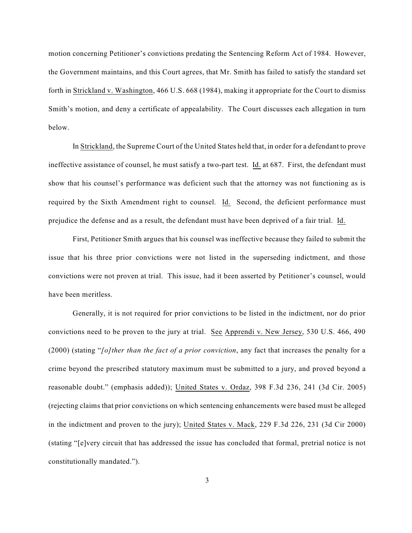motion concerning Petitioner's convictions predating the Sentencing Reform Act of 1984. However, the Government maintains, and this Court agrees, that Mr. Smith has failed to satisfy the standard set forth in Strickland v. Washington, 466 U.S. 668 (1984), making it appropriate for the Court to dismiss Smith's motion, and deny a certificate of appealability. The Court discusses each allegation in turn below.

In Strickland, the Supreme Court of the United States held that, in order for a defendant to prove ineffective assistance of counsel, he must satisfy a two-part test. Id. at 687. First, the defendant must show that his counsel's performance was deficient such that the attorney was not functioning as is required by the Sixth Amendment right to counsel. Id. Second, the deficient performance must prejudice the defense and as a result, the defendant must have been deprived of a fair trial. Id.

First, Petitioner Smith argues that his counsel was ineffective because they failed to submit the issue that his three prior convictions were not listed in the superseding indictment, and those convictions were not proven at trial. This issue, had it been asserted by Petitioner's counsel, would have been meritless.

Generally, it is not required for prior convictions to be listed in the indictment, nor do prior convictions need to be proven to the jury at trial. See Apprendi v. New Jersey, 530 U.S. 466, 490 (2000) (stating "*[o]ther than the fact of a prior conviction*, any fact that increases the penalty for a crime beyond the prescribed statutory maximum must be submitted to a jury, and proved beyond a reasonable doubt." (emphasis added)); United States v. Ordaz, 398 F.3d 236, 241 (3d Cir. 2005) (rejecting claims that prior convictions on which sentencing enhancements were based must be alleged in the indictment and proven to the jury); United States v. Mack, 229 F.3d 226, 231 (3d Cir 2000) (stating "[e]very circuit that has addressed the issue has concluded that formal, pretrial notice is not constitutionally mandated.").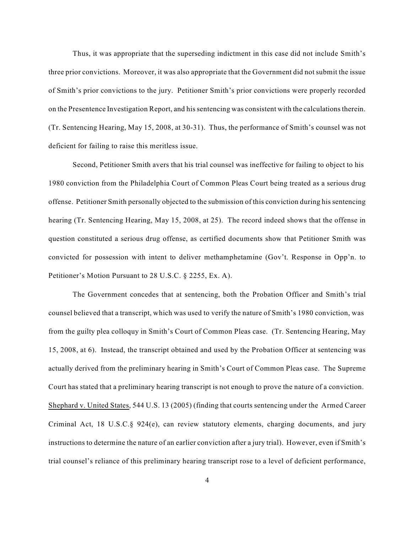Thus, it was appropriate that the superseding indictment in this case did not include Smith's three prior convictions. Moreover, it was also appropriate that the Government did notsubmit the issue of Smith's prior convictions to the jury. Petitioner Smith's prior convictions were properly recorded on the Presentence Investigation Report, and hissentencing was consistent with the calculationstherein. (Tr. Sentencing Hearing, May 15, 2008, at 30-31). Thus, the performance of Smith's counsel was not deficient for failing to raise this meritless issue.

Second, Petitioner Smith avers that his trial counsel was ineffective for failing to object to his 1980 conviction from the Philadelphia Court of Common Pleas Court being treated as a serious drug offense. Petitioner Smith personally objected to the submission of this conviction during his sentencing hearing (Tr. Sentencing Hearing, May 15, 2008, at 25). The record indeed shows that the offense in question constituted a serious drug offense, as certified documents show that Petitioner Smith was convicted for possession with intent to deliver methamphetamine (Gov't. Response in Opp'n. to Petitioner's Motion Pursuant to 28 U.S.C. § 2255, Ex. A).

The Government concedes that at sentencing, both the Probation Officer and Smith's trial counsel believed that a transcript, which was used to verify the nature of Smith's 1980 conviction, was from the guilty plea colloquy in Smith's Court of Common Pleas case. (Tr. Sentencing Hearing, May 15, 2008, at 6). Instead, the transcript obtained and used by the Probation Officer at sentencing was actually derived from the preliminary hearing in Smith's Court of Common Pleas case. The Supreme Court has stated that a preliminary hearing transcript is not enough to prove the nature of a conviction. Shephard v. United States, 544 U.S. 13 (2005) (finding that courts sentencing under the Armed Career Criminal Act, 18 U.S.C.§ 924(e), can review statutory elements, charging documents, and jury instructions to determine the nature of an earlier conviction after a jury trial). However, even if Smith's trial counsel's reliance of this preliminary hearing transcript rose to a level of deficient performance,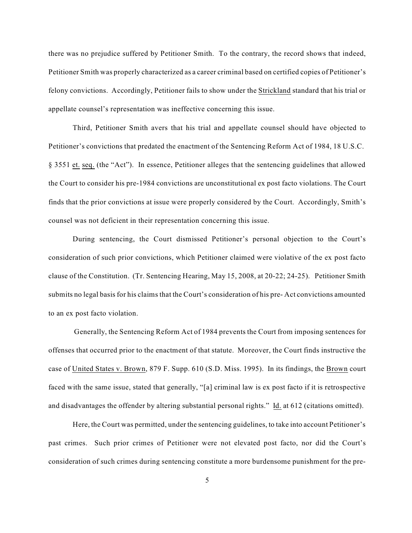there was no prejudice suffered by Petitioner Smith. To the contrary, the record shows that indeed, Petitioner Smith was properly characterized as a career criminal based on certified copies of Petitioner's felony convictions. Accordingly, Petitioner fails to show under the Strickland standard that his trial or appellate counsel's representation was ineffective concerning this issue.

Third, Petitioner Smith avers that his trial and appellate counsel should have objected to Petitioner's convictions that predated the enactment of the Sentencing Reform Act of 1984, 18 U.S.C. § 3551 et. seq. (the "Act"). In essence, Petitioner alleges that the sentencing guidelines that allowed the Court to consider his pre-1984 convictions are unconstitutional ex post facto violations. The Court finds that the prior convictions at issue were properly considered by the Court. Accordingly, Smith's counsel was not deficient in their representation concerning this issue.

During sentencing, the Court dismissed Petitioner's personal objection to the Court's consideration of such prior convictions, which Petitioner claimed were violative of the ex post facto clause of the Constitution. (Tr. Sentencing Hearing, May 15, 2008, at 20-22; 24-25). Petitioner Smith submits no legal basis for his claims that the Court's consideration of his pre- Act convictions amounted to an ex post facto violation.

Generally, the Sentencing Reform Act of 1984 prevents the Court from imposing sentences for offenses that occurred prior to the enactment of that statute. Moreover, the Court finds instructive the case of United States v. Brown, 879 F. Supp. 610 (S.D. Miss. 1995). In its findings, the Brown court faced with the same issue, stated that generally, "[a] criminal law is ex post facto if it is retrospective and disadvantages the offender by altering substantial personal rights." Id. at 612 (citations omitted).

Here, the Court was permitted, under the sentencing guidelines, to take into account Petitioner's past crimes. Such prior crimes of Petitioner were not elevated post facto, nor did the Court's consideration of such crimes during sentencing constitute a more burdensome punishment for the pre-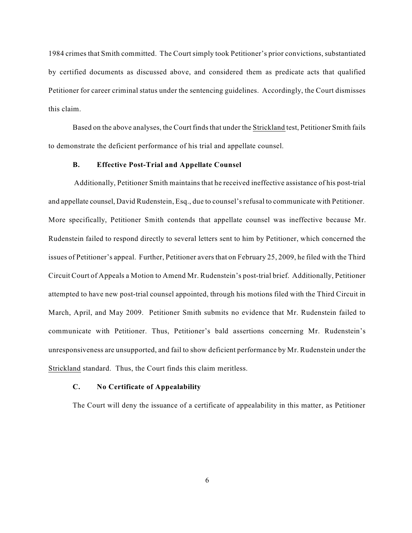1984 crimes that Smith committed. The Court simply took Petitioner's prior convictions, substantiated by certified documents as discussed above, and considered them as predicate acts that qualified Petitioner for career criminal status under the sentencing guidelines. Accordingly, the Court dismisses this claim.

Based on the above analyses, the Court finds that under the Strickland test, Petitioner Smith fails to demonstrate the deficient performance of his trial and appellate counsel.

## **B. Effective Post-Trial and Appellate Counsel**

Additionally, Petitioner Smith maintains that he received ineffective assistance of his post-trial and appellate counsel, David Rudenstein, Esq., due to counsel'srefusal to communicate with Petitioner. More specifically, Petitioner Smith contends that appellate counsel was ineffective because Mr. Rudenstein failed to respond directly to several letters sent to him by Petitioner, which concerned the issues of Petitioner's appeal. Further, Petitioner avers that on February 25, 2009, he filed with the Third Circuit Court of Appeals a Motion to Amend Mr. Rudenstein's post-trial brief. Additionally, Petitioner attempted to have new post-trial counsel appointed, through his motions filed with the Third Circuit in March, April, and May 2009. Petitioner Smith submits no evidence that Mr. Rudenstein failed to communicate with Petitioner. Thus, Petitioner's bald assertions concerning Mr. Rudenstein's unresponsiveness are unsupported, and fail to show deficient performance by Mr. Rudenstein under the Strickland standard. Thus, the Court finds this claim meritless.

# **C. No Certificate of Appealability**

The Court will deny the issuance of a certificate of appealability in this matter, as Petitioner